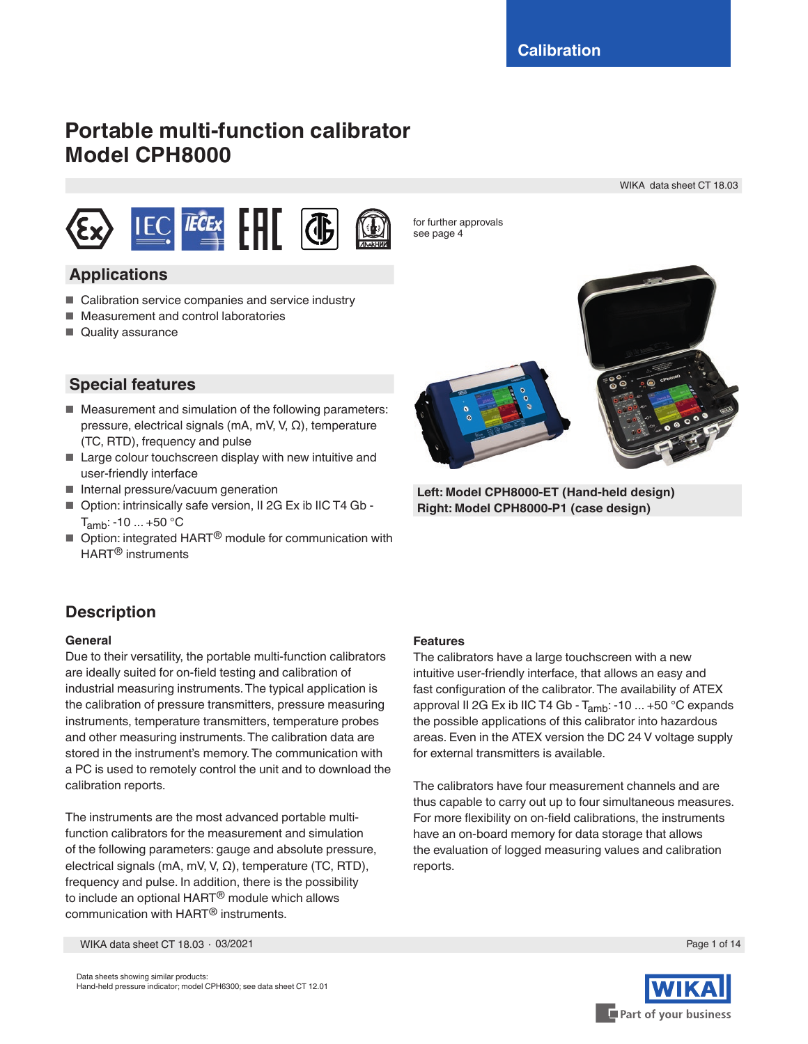# **Portable multi-function calibrator Model CPH8000**

WIKA data sheet CT 18.03



for further approvals see page 4

# **Applications**

- Calibration service companies and service industry
- Measurement and control laboratories
- Quality assurance



**Left: Model CPH8000-ET (Hand-held design) Right: Model CPH8000-P1 (case design)**

- **Special features**
- Measurement and simulation of the following parameters: pressure, electrical signals (mA, mV, V, Ω), temperature (TC, RTD), frequency and pulse
- Large colour touchscreen display with new intuitive and user-friendly interface
- Internal pressure/vacuum generation
- Option: intrinsically safe version, II 2G Ex ib IIC T4 Gb - $T_{amb}$ : -10 ... +50 °C
- Option: integrated HART<sup>®</sup> module for communication with HART® instruments

# **Description**

### **General**

Due to their versatility, the portable multi-function calibrators are ideally suited for on-field testing and calibration of industrial measuring instruments. The typical application is the calibration of pressure transmitters, pressure measuring instruments, temperature transmitters, temperature probes and other measuring instruments. The calibration data are stored in the instrument's memory. The communication with a PC is used to remotely control the unit and to download the calibration reports.

The instruments are the most advanced portable multifunction calibrators for the measurement and simulation of the following parameters: gauge and absolute pressure, electrical signals (mA, mV, V,  $Ω$ ), temperature (TC, RTD), frequency and pulse. In addition, there is the possibility to include an optional HART® module which allows communication with HART® instruments.

WIKA data sheet CT 18.03 ⋅ 03/2021 Page 1 of 14

### **Features**

The calibrators have a large touchscreen with a new intuitive user-friendly interface, that allows an easy and fast configuration of the calibrator. The availability of ATEX approval II 2G Ex ib IIC T4 Gb -  $T_{amb}$ : -10 ... +50 °C expands the possible applications of this calibrator into hazardous areas. Even in the ATEX version the DC 24 V voltage supply for external transmitters is available.

The calibrators have four measurement channels and are thus capable to carry out up to four simultaneous measures. For more flexibility on on-field calibrations, the instruments have an on-board memory for data storage that allows the evaluation of logged measuring values and calibration reports.

Part of your business

Data sheets showing similar products: Hand-held pressure indicator; model CPH6300; see data sheet CT 12.01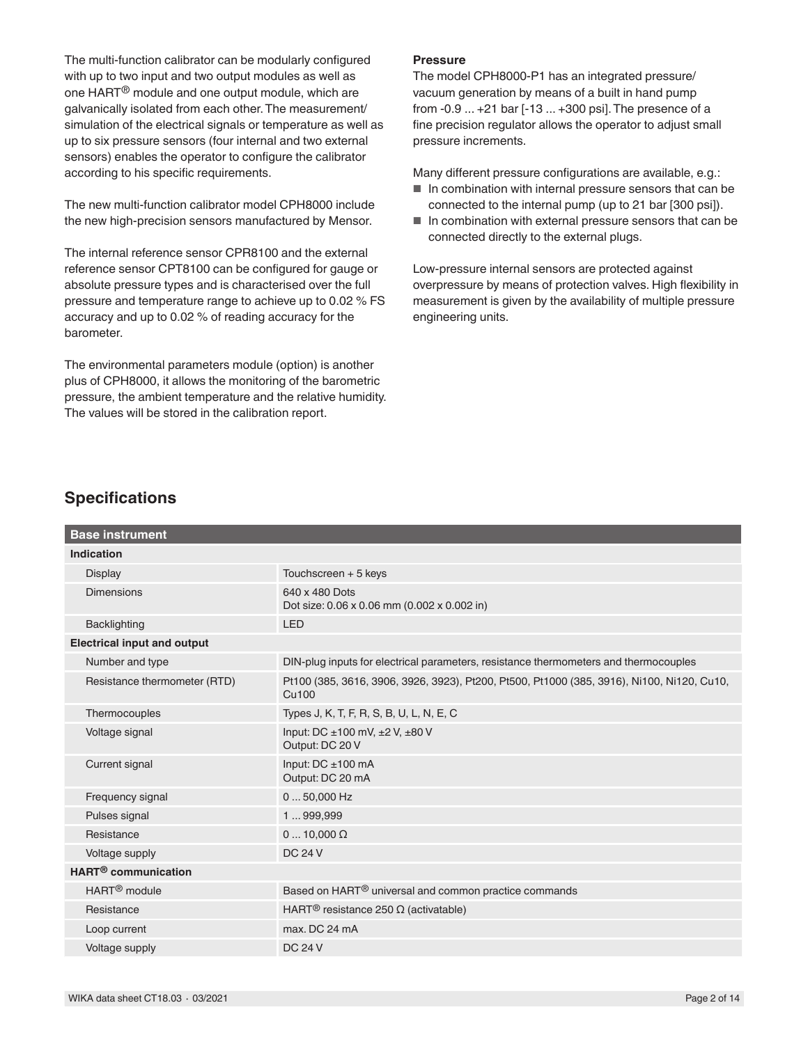The multi-function calibrator can be modularly configured with up to two input and two output modules as well as one HART® module and one output module, which are galvanically isolated from each other. The measurement/ simulation of the electrical signals or temperature as well as up to six pressure sensors (four internal and two external sensors) enables the operator to configure the calibrator according to his specific requirements.

The new multi-function calibrator model CPH8000 include the new high-precision sensors manufactured by Mensor.

The internal reference sensor CPR8100 and the external reference sensor CPT8100 can be configured for gauge or absolute pressure types and is characterised over the full pressure and temperature range to achieve up to 0.02 % FS accuracy and up to 0.02 % of reading accuracy for the barometer.

The environmental parameters module (option) is another plus of CPH8000, it allows the monitoring of the barometric pressure, the ambient temperature and the relative humidity. The values will be stored in the calibration report.

#### **Pressure**

The model CPH8000-P1 has an integrated pressure/ vacuum generation by means of a built in hand pump from -0.9 ... +21 bar [-13 ... +300 psi]. The presence of a fine precision regulator allows the operator to adjust small pressure increments.

Many different pressure configurations are available, e.g.:

- In combination with internal pressure sensors that can be connected to the internal pump (up to 21 bar [300 psi]).
- In combination with external pressure sensors that can be connected directly to the external plugs.

Low-pressure internal sensors are protected against overpressure by means of protection valves. High flexibility in measurement is given by the availability of multiple pressure engineering units.

### **Specifications**

| <b>Base instrument</b>             |                                                                                                            |
|------------------------------------|------------------------------------------------------------------------------------------------------------|
| Indication                         |                                                                                                            |
| <b>Display</b>                     | Touchscreen + 5 keys                                                                                       |
| <b>Dimensions</b>                  | 640 x 480 Dots<br>Dot size: 0.06 x 0.06 mm (0.002 x 0.002 in)                                              |
| <b>Backlighting</b>                | <b>LED</b>                                                                                                 |
| <b>Electrical input and output</b> |                                                                                                            |
| Number and type                    | DIN-plug inputs for electrical parameters, resistance thermometers and thermocouples                       |
| Resistance thermometer (RTD)       | Pt100 (385, 3616, 3906, 3926, 3923), Pt200, Pt500, Pt1000 (385, 3916), Ni100, Ni120, Cu10,<br><b>Cu100</b> |
| Thermocouples                      | Types J, K, T, F, R, S, B, U, L, N, E, C                                                                   |
| Voltage signal                     | Input: $DC \pm 100$ mV, $\pm 2$ V, $\pm 80$ V<br>Output: DC 20 V                                           |
| Current signal                     | Input: $DC \pm 100$ mA<br>Output: DC 20 mA                                                                 |
| Frequency signal                   | $050,000$ Hz                                                                                               |
| Pulses signal                      | 1999,999                                                                                                   |
| Resistance                         | $0 \dots 10,000 \Omega$                                                                                    |
| Voltage supply                     | <b>DC 24 V</b>                                                                                             |
| HART <sup>®</sup> communication    |                                                                                                            |
| HART <sup>®</sup> module           | Based on HART <sup>®</sup> universal and common practice commands                                          |
| Resistance                         | HART <sup>®</sup> resistance 250 $\Omega$ (activatable)                                                    |
| Loop current                       | max. DC 24 mA                                                                                              |
| Voltage supply                     | <b>DC 24 V</b>                                                                                             |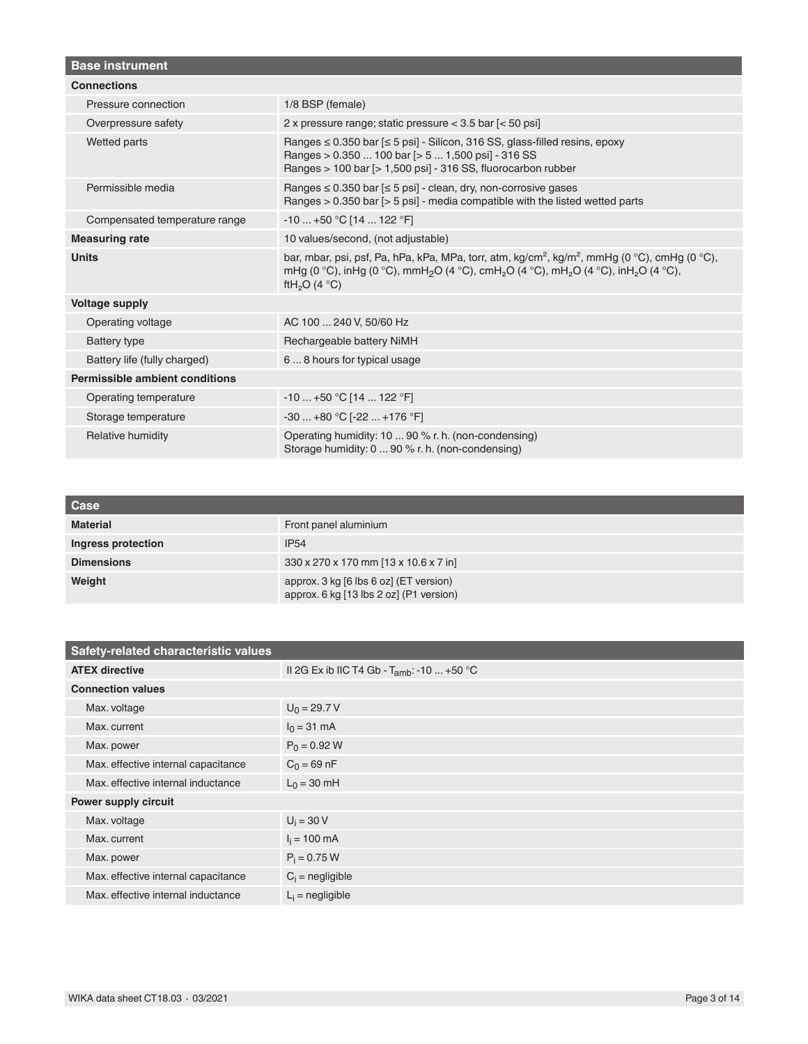| <b>Base instrument</b>         |                                                                                                                                                                                                                                                                                           |  |  |  |  |
|--------------------------------|-------------------------------------------------------------------------------------------------------------------------------------------------------------------------------------------------------------------------------------------------------------------------------------------|--|--|--|--|
| <b>Connections</b>             |                                                                                                                                                                                                                                                                                           |  |  |  |  |
| Pressure connection            | 1/8 BSP (female)                                                                                                                                                                                                                                                                          |  |  |  |  |
| Overpressure safety            | 2 x pressure range; static pressure < 3.5 bar [< 50 psi]                                                                                                                                                                                                                                  |  |  |  |  |
| Wetted parts                   | Ranges ≤ 0.350 bar [≤ 5 psi] - Silicon, 316 SS, glass-filled resins, epoxy<br>Ranges > 0.350  100 bar [> 5  1,500 psi] - 316 SS<br>Ranges > 100 bar [> 1,500 psi] - 316 SS, fluorocarbon rubber                                                                                           |  |  |  |  |
| Permissible media              | Ranges $\leq 0.350$ bar [ $\leq 5$ psi] - clean, dry, non-corrosive gases<br>Ranges $> 0.350$ bar $\lceil$ > 5 psi] - media compatible with the listed wetted parts                                                                                                                       |  |  |  |  |
| Compensated temperature range  | $-10+50$ °C [14  122 °F]                                                                                                                                                                                                                                                                  |  |  |  |  |
| <b>Measuring rate</b>          | 10 values/second, (not adjustable)                                                                                                                                                                                                                                                        |  |  |  |  |
| <b>Units</b>                   | bar, mbar, psi, psf, Pa, hPa, kPa, MPa, torr, atm, kg/cm <sup>2</sup> , kg/m <sup>2</sup> , mmHg (0 °C), cmHg (0 °C),<br>mHg (0 °C), inHg (0 °C), mmH <sub>2</sub> O (4 °C), cmH <sub>2</sub> O (4 °C), mH <sub>2</sub> O (4 °C), inH <sub>2</sub> O (4 °C),<br>ftH <sub>2</sub> O (4 °C) |  |  |  |  |
| <b>Voltage supply</b>          |                                                                                                                                                                                                                                                                                           |  |  |  |  |
| Operating voltage              | AC 100  240 V, 50/60 Hz                                                                                                                                                                                                                                                                   |  |  |  |  |
| <b>Battery type</b>            | Rechargeable battery NiMH                                                                                                                                                                                                                                                                 |  |  |  |  |
| Battery life (fully charged)   | 68 hours for typical usage                                                                                                                                                                                                                                                                |  |  |  |  |
| Permissible ambient conditions |                                                                                                                                                                                                                                                                                           |  |  |  |  |
| Operating temperature          | $-10+50$ °C [14  122 °F]                                                                                                                                                                                                                                                                  |  |  |  |  |
| Storage temperature            | $-30+80 °C$ [ $-22+176 °F$ ]                                                                                                                                                                                                                                                              |  |  |  |  |
| Relative humidity              | Operating humidity: 10  90 % r. h. (non-condensing)<br>Storage humidity: 0  90 % r. h. (non-condensing)                                                                                                                                                                                   |  |  |  |  |

| Case               |                                                                                   |
|--------------------|-----------------------------------------------------------------------------------|
| <b>Material</b>    | Front panel aluminium                                                             |
| Ingress protection | IP54                                                                              |
| <b>Dimensions</b>  | 330 x 270 x 170 mm [13 x 10.6 x 7 in]                                             |
| Weight             | approx. 3 kg [6 lbs 6 oz] (ET version)<br>approx. 6 kg [13 lbs 2 oz] (P1 version) |

| Safety-related characteristic values |                                                 |
|--------------------------------------|-------------------------------------------------|
| <b>ATEX directive</b>                | II 2G Ex ib IIC T4 Gb - $T_{amb}$ : -10  +50 °C |
| <b>Connection values</b>             |                                                 |
| Max. voltage                         | $U_0 = 29.7 V$                                  |
| Max. current                         | $I_0 = 31 \text{ mA}$                           |
| Max. power                           | $P_0 = 0.92 W$                                  |
| Max. effective internal capacitance  | $C_0 = 69$ nF                                   |
| Max, effective internal inductance   | $L_0 = 30$ mH                                   |
| Power supply circuit                 |                                                 |
| Max. voltage                         | $U_i = 30 V$                                    |
| Max. current                         | $I_i = 100 \text{ mA}$                          |
| Max. power                           | $P_i = 0.75 W$                                  |
| Max. effective internal capacitance  | $C_i$ = negligible                              |
| Max, effective internal inductance   | $L_i$ = negligible                              |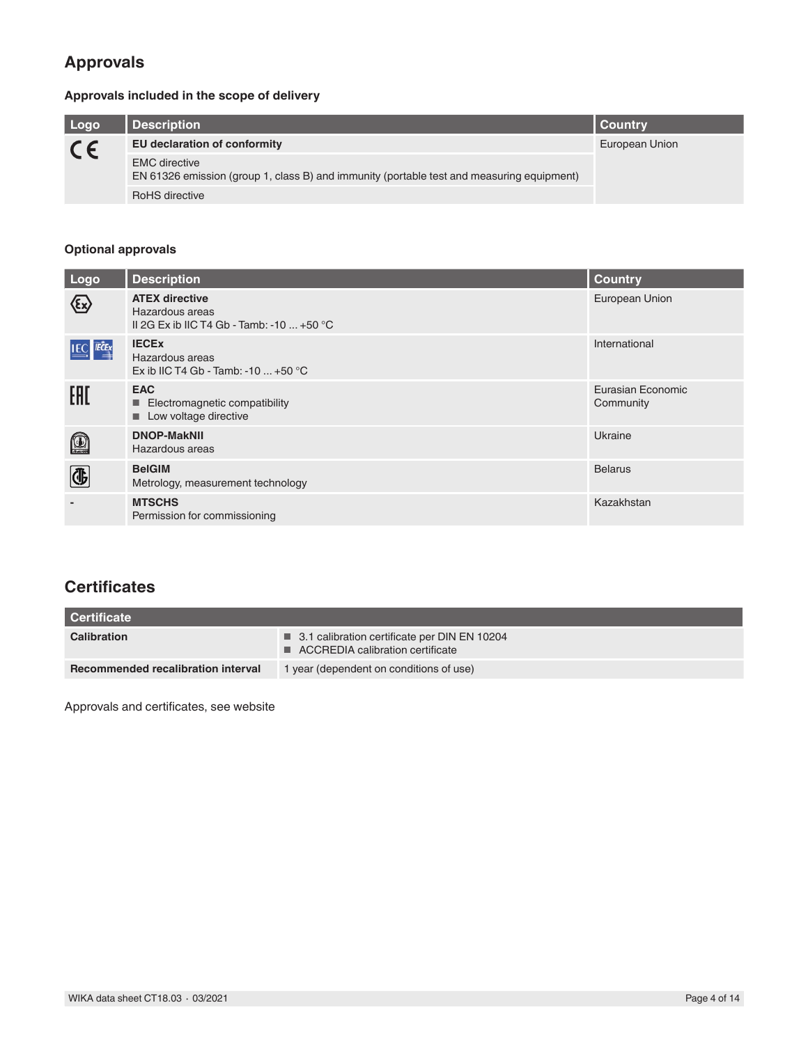# **Approvals**

### **Approvals included in the scope of delivery**

| Logo    | Description                                                                                                       | <b>Country</b> |
|---------|-------------------------------------------------------------------------------------------------------------------|----------------|
| $C \in$ | <b>EU declaration of conformity</b>                                                                               | European Union |
|         | <b>EMC</b> directive<br>EN 61326 emission (group 1, class B) and immunity (portable test and measuring equipment) |                |
|         | <b>RoHS</b> directive                                                                                             |                |

### **Optional approvals**

| Logo              | <b>Description</b>                                                                           | <b>Country</b>                 |
|-------------------|----------------------------------------------------------------------------------------------|--------------------------------|
| $\bigotimes$      | <b>ATEX directive</b><br>Hazardous areas<br>II 2G Ex ib IIC T4 Gb - Tamb: -10 $\dots$ +50 °C | European Union                 |
| <b>IEC IECEX</b>  | <b>IECEX</b><br>Hazardous areas<br>Ex ib IIC T4 Gb - Tamb: -10 $\dots$ +50 °C                | International                  |
| EAD               | <b>EAC</b><br>$\blacksquare$ Electromagnetic compatibility<br>Low voltage directive          | Eurasian Economic<br>Community |
| $\textcircled{1}$ | <b>DNOP-MakNII</b><br>Hazardous areas                                                        | Ukraine                        |
|                   | <b>BelGIM</b><br>Metrology, measurement technology                                           | <b>Belarus</b>                 |
|                   | <b>MTSCHS</b><br>Permission for commissioning                                                | Kazakhstan                     |

# **Certificates**

| Certificate                        |                                                                                      |
|------------------------------------|--------------------------------------------------------------------------------------|
| <b>Calibration</b>                 | ■ 3.1 calibration certificate per DIN EN 10204<br>■ ACCREDIA calibration certificate |
| Recommended recalibration interval | 1 year (dependent on conditions of use)                                              |

Approvals and certificates, see website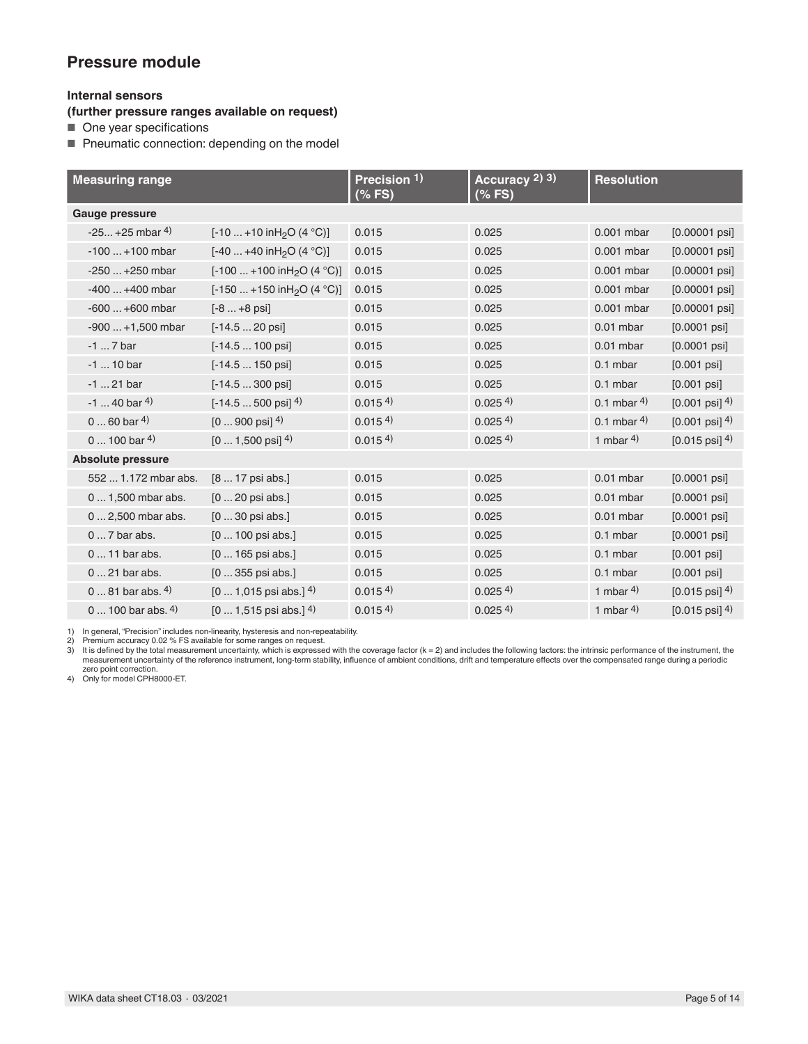### **Pressure module**

### **Internal sensors**

**(further pressure ranges available on request)**

■ One year specifications

■ Pneumatic connection: depending on the model

| <b>Measuring range</b>    |                                           | Precision 1)<br>$(%$ (% FS) | Accuracy 2) 3)<br>$(%$ (% FS) | <b>Resolution</b> |                                     |
|---------------------------|-------------------------------------------|-----------------------------|-------------------------------|-------------------|-------------------------------------|
| <b>Gauge pressure</b>     |                                           |                             |                               |                   |                                     |
| $-25 + 25$ mbar 4)        | [-10  +10 in H <sub>2</sub> O (4 °C)]     | 0.015                       | 0.025                         | 0.001 mbar        | $[0.00001$ psi]                     |
| $-100+100$ mbar           | $[-40+40$ in H <sub>2</sub> O (4 °C)]     | 0.015                       | 0.025                         | 0.001 mbar        | $[0.00001$ psil                     |
| -250  +250 mbar           | [-100  +100 in H <sub>2</sub> O (4 °C)]   | 0.015                       | 0.025                         | 0.001 mbar        | $[0.00001$ psi]                     |
| $-400+400$ mbar           | [-150  +150 in H <sub>2</sub> O (4 °C)]   | 0.015                       | 0.025                         | 0.001 mbar        | $[0.00001$ psi]                     |
| $-600+600$ mbar           | $[-8  +8 ps]$                             | 0.015                       | 0.025                         | 0.001 mbar        | $[0.00001$ psi]                     |
| $-900+1,500$ mbar         | $[-14.5  20$ psi]                         | 0.015                       | 0.025                         | $0.01$ mbar       | $[0.0001$ psi]                      |
| $-17$ bar                 | $[-14.5 \dots 100 \text{psi}]$            | 0.015                       | 0.025                         | $0.01$ mbar       | $[0.0001$ psi]                      |
| $-1$ 10 bar               | $[-14.5 \dots 150 \text{psi}]$            | 0.015                       | 0.025                         | $0.1$ mbar        | $[0.001$ psi]                       |
| $-1$ 21 bar               | $[-14.5300$ psi                           | 0.015                       | 0.025                         | $0.1$ mbar        | $[0.001$ psi]                       |
| $-1$ 40 bar <sup>4)</sup> | $[-14.5500$ psi <sup>14)</sup>            | 0.015 <sup>4</sup>          | $0.025$ <sup>4)</sup>         | 0.1 mbar $4$ )    | $[0.001 \text{ psi}]$ <sup>4)</sup> |
| 0  60 bar $^{4)}$         | $[0 \dots 900 \text{ psi}]$ <sup>4)</sup> | 0.015 <sup>4</sup>          | 0.025 <sup>4</sup>            | 0.1 mbar $4$ )    | $[0.001 \text{ psi}]$ <sup>4)</sup> |
| $0100$ bar <sup>4)</sup>  | $[01,500$ psi <sup>4</sup> )              | 0.0154                      | 0.0254                        | 1 mbar $4$ )      | $[0.015 \text{ psi}]$ <sup>4)</sup> |
| <b>Absolute pressure</b>  |                                           |                             |                               |                   |                                     |
| 552  1.172 mbar abs.      | [8  17 psi abs.]                          | 0.015                       | 0.025                         | $0.01$ mbar       | $[0.0001$ psi]                      |
| 0  1,500 mbar abs.        | $[020$ psi abs.]                          | 0.015                       | 0.025                         | $0.01$ mbar       | $[0.0001$ psi]                      |
| 0  2,500 mbar abs.        | $[030$ psi abs.]                          | 0.015                       | 0.025                         | $0.01$ mbar       | $[0.0001$ psi]                      |
| $07$ bar abs.             | [0  100 psi abs.]                         | 0.015                       | 0.025                         | $0.1$ mbar        | $[0.0001$ psi]                      |
| 0  11 bar abs.            | $[0165$ psi abs.]                         | 0.015                       | 0.025                         | $0.1$ mbar        | $[0.001$ psi]                       |
| 0  21 bar abs.            | $[0355$ psi abs.]                         | 0.015                       | 0.025                         | $0.1$ mbar        | $[0.001$ psi]                       |
| $081$ bar abs. 4)         | $[01,015$ psi abs.] 4)                    | 0.0154                      | 0.0254                        | 1 mbar $4$ )      | $[0.015 \text{ psi}]$ <sup>4)</sup> |
| 0  100 bar abs. $4)$      | $[01,515$ psi abs.] 4)                    | 0.0154                      | 0.0254                        | 1 mbar $4$ )      | $[0.015 \text{ psi}]$ <sup>4)</sup> |

1) In general, "Precision" includes non-linearity, hysteresis and non-repeatability. 2) Premium accuracy 0.02 % FS available for some ranges on request.

lt is defined by the total measurement uncertainty, which is expressed with the coverage factor (k = 2) and includes the following factors: the intrinsic performance of the instrument, the reference instrument, long-term s

zero point correction. 4) Only for model CPH8000-ET.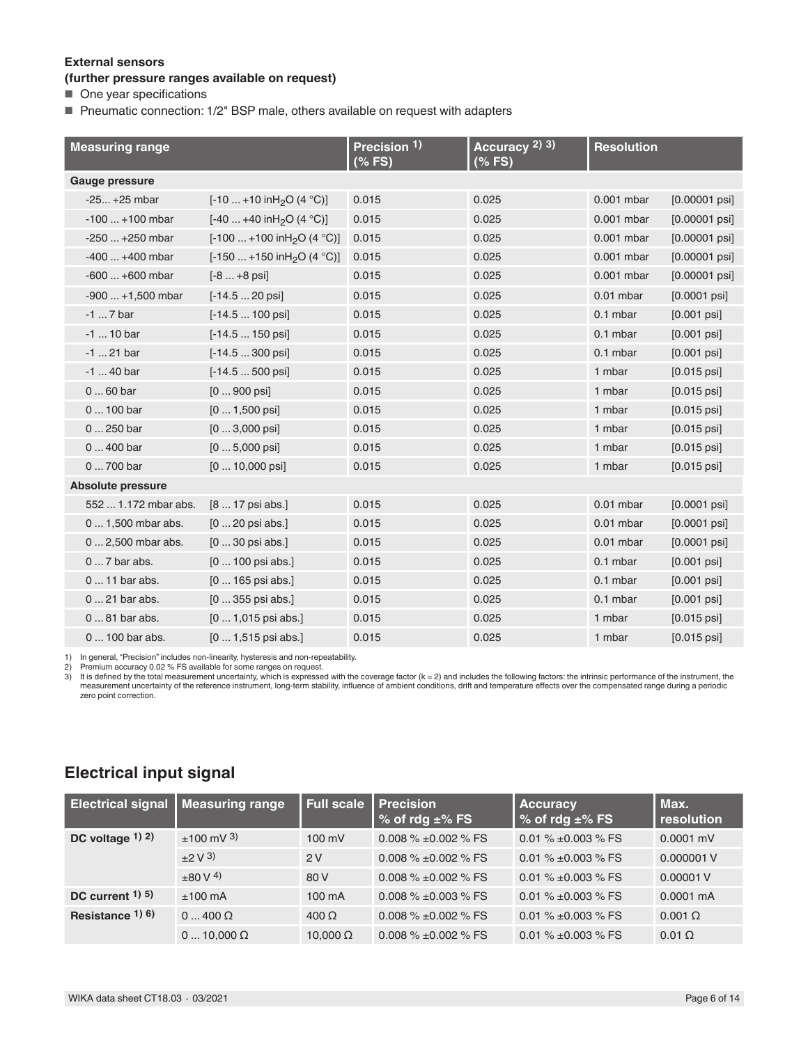#### **External sensors**

#### **(further pressure ranges available on request)**

■ One year specifications

■ Pneumatic connection: 1/2" BSP male, others available on request with adapters

| <b>Measuring range</b>   |                                         | Precision 1)<br>$(%$ (% FS) | Accuracy 2) 3)<br>$(*$ FS) | <b>Resolution</b> |                          |
|--------------------------|-----------------------------------------|-----------------------------|----------------------------|-------------------|--------------------------|
| <b>Gauge pressure</b>    |                                         |                             |                            |                   |                          |
| $-25+25$ mbar            | [-10  +10 in H <sub>2</sub> O (4 °C)]   | 0.015                       | 0.025                      | 0.001 mbar        | $[0.00001$ psi]          |
| $-100+100$ mbar          | [-40  +40 in H <sub>2</sub> O (4 °C)]   | 0.015                       | 0.025                      | 0.001 mbar        | $[0.00001$ psi]          |
| $-250+250$ mbar          | [-100  +100 in H <sub>2</sub> O (4 °C)] | 0.015                       | 0.025                      | $0.001$ mbar      | $[0.00001$ psi]          |
| $-400+400$ mbar          | [-150  +150 in H <sub>2</sub> O (4 °C)] | 0.015                       | 0.025                      | 0.001 mbar        | $[0.00001$ psi]          |
| $-600+600$ mbar          | $[-8  +8$ psi                           | 0.015                       | 0.025                      | 0.001 mbar        | $[0.00001$ psi]          |
| $-900+1,500$ mbar        | $[-14.520$ psi                          | 0.015                       | 0.025                      | $0.01$ mbar       | $[0.0001$ psi]           |
| $-17$ bar                | $[-14.5 \dots 100 \text{ psi}]$         | 0.015                       | 0.025                      | $0.1$ mbar        | $[0.001$ psi]            |
| $-1$ 10 bar              | $[-14.5150$ psi                         | 0.015                       | 0.025                      | $0.1$ mbar        | $[0.001$ psi]            |
| $-1$ 21 bar              | $[-14.5300$ psil                        | 0.015                       | 0.025                      | $0.1$ mbar        | $[0.001$ psi]            |
| $-1$ 40 bar              | $[-14.5500$ psi                         | 0.015                       | 0.025                      | 1 mbar            | $[0.015 \,\mathrm{psi}]$ |
| $060$ bar                | $[0900$ psi]                            | 0.015                       | 0.025                      | 1 mbar            | $[0.015 \,\mathrm{psi}]$ |
| 0  100 bar               | $[01,500$ psi]                          | 0.015                       | 0.025                      | 1 mbar            | $[0.015 \,\mathrm{psi}]$ |
| $0250$ bar               | $[03,000$ psi                           | 0.015                       | 0.025                      | 1 mbar            | $[0.015 \,\mathrm{psi}]$ |
| 0  400 bar               | $[05,000$ psi]                          | 0.015                       | 0.025                      | 1 mbar            | $[0.015 \,\mathrm{psi}]$ |
| 0  700 bar               | $[0 \dots 10,000$ psi                   | 0.015                       | 0.025                      | 1 mbar            | $[0.015$ psi]            |
| <b>Absolute pressure</b> |                                         |                             |                            |                   |                          |
| 552  1.172 mbar abs.     | [8  17 psi abs.]                        | 0.015                       | 0.025                      | $0.01$ mbar       | $[0.0001$ psi]           |
| 0  1,500 mbar abs.       | $[020$ psi abs.]                        | 0.015                       | 0.025                      | $0.01$ mbar       | $[0.0001$ psi]           |
| 0  2,500 mbar abs.       | $[030$ psi abs.]                        | 0.015                       | 0.025                      | $0.01$ mbar       | $[0.0001$ psi]           |
| $07$ bar abs.            | $[0100$ psi abs.]                       | 0.015                       | 0.025                      | $0.1$ mbar        | $[0.001$ psi]            |
| 0  11 bar abs.           | $[0165$ psi abs.]                       | 0.015                       | 0.025                      | 0.1 mbar          | $[0.001$ psi]            |
| 0  21 bar abs.           | $[0355$ psi abs.]                       | 0.015                       | 0.025                      | 0.1 mbar          | $[0.001 \,\mathrm{psi}]$ |
| 0  81 bar abs.           | $[01,015$ psi abs.]                     | 0.015                       | 0.025                      | 1 mbar            | $[0.015 \,\mathrm{psi}]$ |
| 0  100 bar abs.          | $[01,515$ psi abs.]                     | 0.015                       | 0.025                      | 1 mbar            | $[0.015 \,\mathrm{psi}]$ |

1) In general, "Precision" includes non-linearity, hysteresis and non-repeatability.<br>2) Premium accuracy 0.02 % FS available for some ranges on request.<br>3) It is defined by the total measurement uncertainty, which is expre zero point correction.

### **Electrical input signal**

| <b>Electrical signal</b> | <b>Measuring range</b>  | <b>Full scale</b> | <b>Precision</b><br>% of rdg $\pm$ % FS | <b>Accuracy</b><br>% of rdg $\pm$ % FS | Max.<br>resolution  |
|--------------------------|-------------------------|-------------------|-----------------------------------------|----------------------------------------|---------------------|
| DC voltage $(1)$ 2)      | $±100$ mV <sup>3)</sup> | $100 \text{ mV}$  | 0.008 $\%$ ±0.002 $\%$ FS               | 0.01 % $\pm$ 0.003 % FS                | $0.0001$ mV         |
|                          | $\pm 2 \text{ V }^{3)}$ | 2V                | 0.008 $\%$ ±0.002 $\%$ FS               | 0.01 % $\pm$ 0.003 % FS                | 0.000001 V          |
|                          | $+80V4$                 | 80 V              | 0.008 $\%$ ±0.002 $\%$ FS               | 0.01 % $\pm$ 0.003 % FS                | 0.00001 V           |
| DC current $(1)$ 5)      | $±100$ mA               | $100 \text{ mA}$  | 0.008 $% \pm 0.003$ % FS                | 0.01 % $\pm$ 0.003 % FS                | $0.0001 \text{ mA}$ |
| Resistance $1)$ 6)       | $0 \dots 400 \Omega$    | $400 \Omega$      | 0.008 $% \pm 0.002$ % FS                | 0.01 % $\pm$ 0.003 % FS                | $0.001$ $\Omega$    |
|                          | $010.000 \Omega$        | $10.000 \Omega$   | 0.008 $\%$ ±0.002 $\%$ FS               | 0.01 % $\pm$ 0.003 % FS                | $0.01$ $\Omega$     |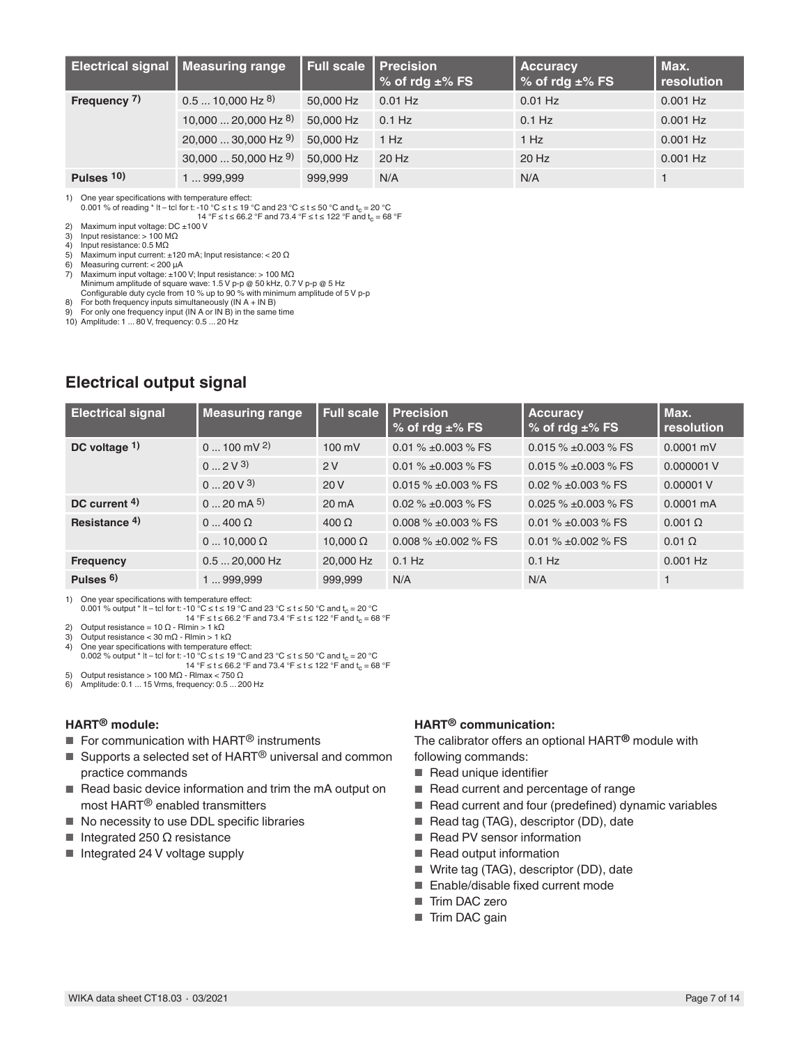|               | <b>Electrical signal Measuring range</b> | <b>Full scale   Precision</b> | % of rdg $\pm$ % FS | <b>Accuracy</b><br>% of rdg $\pm$ % FS | Max.<br>resolution |
|---------------|------------------------------------------|-------------------------------|---------------------|----------------------------------------|--------------------|
| Frequency 7)  | $0.510,000$ Hz $^{8)}$                   | 50,000 Hz                     | $0.01$ Hz           | $0.01$ Hz                              | $0.001$ Hz         |
|               | 10,000  20,000 Hz $^{8)}$                | 50,000 Hz                     | $0.1$ Hz            | $0.1$ Hz                               | $0.001$ Hz         |
|               | $20,00030,000$ Hz $9)$                   | 50,000 Hz                     | 1 Hz                | 1 Hz                                   | $0.001$ Hz         |
|               | $30,00050,000$ Hz $9)$                   | 50,000 Hz                     | $20$ Hz             | 20 Hz                                  | $0.001$ Hz         |
| Pulses $10$ ) | 1999,999                                 | 999.999                       | N/A                 | N/A                                    |                    |

1) One year specifications with temperature effect:

0.001 % of reading \* It – tcl for t: -10 °C  $\leq$  t  $\leq$  19 °C and 23 °C  $\leq$  t  $\leq$  50 °C and t<sub>c</sub> = 20 °C 14 °F ≤ t ≤ 66.2 °F and 73.4 °F ≤ t ≤ 122 °F and t<sub>c</sub> = 68 °F

2) Maximum input voltage:  $DC \pm 100 \text{ V}$ <br>3) Input resistance:  $> 100 \text{ M}\Omega$ 

3) Input resistance: > 100 MΩ 4) Input resistance: 0.5 MΩ

5) Maximum input current:  $\pm$ 120 mA; Input resistance: < 20  $\Omega$ 

6) Measuring current:  $< 200 \mu A$ 

7) Maximum input voltage: ±100 V; Input resistance: > 100 MΩ Minimum amplitude of square wave: 1.5 V p-p @ 50 kHz, 0.7 V p-p @ 5 Hz Configurable duty cycle from 10 % up to 90 % with minimum amplitude of 5 V p-p

8) For both frequency inputs simultaneously (IN A + IN B)

9) For only one frequency input (IN A or IN B) in the same time 10) Amplitude: 1 ... 80 V, frequency: 0.5 ... 20 Hz

# **Electrical output signal**

| <b>Electrical signal</b> | <b>Measuring range</b> | <b>Full scale</b> | <b>Precision</b><br>% of rdg $\pm$ % FS | <b>Accuracy</b><br>% of rdg $\pm$ % FS | Max.<br>resolution  |
|--------------------------|------------------------|-------------------|-----------------------------------------|----------------------------------------|---------------------|
| DC voltage $1$ )         | $0100$ mV $2)$         | $100 \text{ mV}$  | 0.01 $% \pm 0.003$ % FS                 | $0.015\% \pm 0.003\%$ FS               | $0.0001$ mV         |
|                          | $0.2 \text{V}$ 3)      | 2V                | $0.01\% \pm 0.003\%$ FS                 | $0.015\% \pm 0.003\%$ FS               | 0.000001 V          |
|                          | $0 \dots 20 V(3)$      | 20V               | $0.015\% \pm 0.003\%$ FS                | $0.02\% \pm 0.003\%$ FS                | 0.00001V            |
| DC current $4$ )         | $0 \dots 20$ mA $5$ )  | $20 \text{ mA}$   | 0.02 % $\pm$ 0.003 % FS                 | $0.025 \% \pm 0.003 \%$ FS             | $0.0001 \text{ mA}$ |
| Resistance 4)            | $0 \dots 400 \Omega$   | $400\Omega$       | 0.008 $\%$ ±0.003 $\%$ FS               | $0.01\% \pm 0.003\%$ FS                | $0.001$ $\Omega$    |
|                          | $010,000 \Omega$       | 10.000 $\Omega$   | 0.008 $\%$ ±0.002 $\%$ FS               | 0.01 % $\pm$ 0.002 % FS                | $0.01$ $\Omega$     |
| <b>Frequency</b>         | $0.520,000$ Hz         | 20,000 Hz         | $0.1$ Hz                                | $0.1$ Hz                               | $0.001$ Hz          |
| Pulses $6$ )             | 1999,999               | 999,999           | N/A                                     | N/A                                    |                     |

1) One year specifications with temperature effect:

0.001 % output \* It – tcl for t: -10 °C ≤ t ≤ 19 °C and 23 °C ≤ t ≤ 50 °C and t<sub>c</sub> = 20 °C<br>Tar ≤ t ≤ 66.2 °F and 73.4 °F ≤ t ≤ 122 °F and t<sub>c</sub> = 68 °F ⇒ t ≤ 122 °F and t<sub>c</sub> = 68 °F ⇒ t ≤ 122 °F and t

2) Output resistance =  $10 \Omega$  - Rlmin > 1 k $\Omega$ <br>3) Output resistance <  $30 \text{ m}\Omega$  - Rlmin > 1 k $\Omega$ 

Output resistance  $<$  30 m $\Omega$  - Rlmin  $>$  1 k $\Omega$ 

4) One year specifications with temperature effect: 0.002 % output \* It – tcl for t: -10 °C ≤ t ≤ 19 °C and 23 °C ≤ t ≤ 50 °C and t<sub>c</sub> = 20 °C<br>14 °F ≤ t ≤ 66.2 °F and 73.4 °F ≤ t ≤ 122 °F and t<sub>c</sub> = 68 °F

5) Output resistance > 100 M $\Omega$  - Rlmax < 750  $\Omega$ 

6) Amplitude: 0.1 ... 15 Vrms, frequency: 0.5 ... 200 Hz

#### **HART® module:**

- For communication with  $HART<sup>®</sup>$  instruments
- Supports a selected set of  $HART<sup>®</sup>$  universal and common practice commands
- Read basic device information and trim the mA output on most HART® enabled transmitters
- No necessity to use DDL specific libraries
- Integrated 250  $Ω$  resistance
- Integrated 24 V voltage supply

#### **HART® communication:**

The calibrator offers an optional HART**®** module with following commands:

- Read unique identifier
- Read current and percentage of range
- Read current and four (predefined) dynamic variables
- Read tag (TAG), descriptor (DD), date
- Read PV sensor information
- Read output information
- Write tag (TAG), descriptor (DD), date
- Enable/disable fixed current mode
- Trim DAC zero
- Trim DAC gain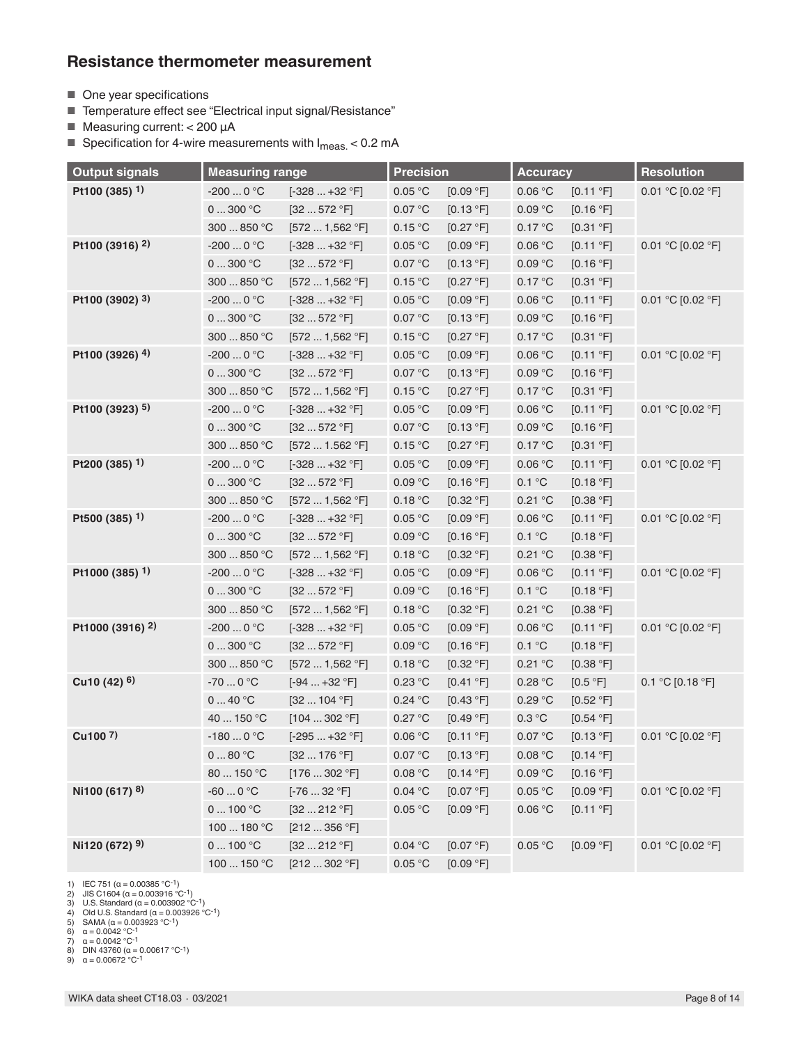### **Resistance thermometer measurement**

- One year specifications
- Temperature effect see "Electrical input signal/Resistance"
- Measuring current: < 200 µA

■ Specification for 4-wire measurements with  $I<sub>meas.</sub> < 0.2$  mA

| <b>Output signals</b>       | <b>Measuring range</b>               |                | <b>Precision</b> |           | <b>Accuracy</b>            |           | <b>Resolution</b>   |
|-----------------------------|--------------------------------------|----------------|------------------|-----------|----------------------------|-----------|---------------------|
| Pt100 (385) <sup>1)</sup>   | $-2000$ °C                           | $[-328+32 °F]$ | 0.05 °C          | [0.09 °F] | 0.06 °C                    | [0.11 °F] | $0.01 °C$ [0.02 °F] |
|                             | 0300 °C                              | [32572 °F]     | 0.07 °C          | [0.13 °F] | $0.09\ ^{\circ}\textrm{C}$ | [0.16 °F] |                     |
|                             | 300  850 °C                          | [5721,562 °F]  | 0.15 °C          | [0.27 °F] | 0.17 °C                    | [0.31 °F] |                     |
| Pt100 (3916) <sup>2)</sup>  | $-2000$ °C                           | $[-328+32 °F]$ | 0.05 °C          | [0.09 °F] | 0.06 °C                    | [0.11 °F] | 0.01 °C [0.02 °F]   |
|                             | 0300 °C                              | [32572 °F]     | 0.07 °C          | [0.13 °F] | $0.09\ ^{\circ}\textrm{C}$ | [0.16 °F] |                     |
|                             | 300  850 °C                          | [5721,562 °F]  | 0.15 °C          | [0.27 °F] | 0.17 °C                    | [0.31 °F] |                     |
| Pt100 (3902) 3)             | -200 $\ldots$ 0 $^{\circ} \text{C}$  | $[-328+32 °F]$ | 0.05 °C          | [0.09 °F] | 0.06 °C                    | [0.11 °F] | 0.01 °C [0.02 °F]   |
|                             | 0300 °C                              | [32572 °F]     | 0.07 °C          | [0.13 °F] | 0.09 °C                    | [0.16 °F] |                     |
|                             | 300  850 °C                          | [5721,562 °F]  | 0.15 °C          | [0.27 °F] | 0.17 °C                    | [0.31 °F] |                     |
| Pt100 (3926) 4)             | $-2000$ °C                           | $[-328+32 °F]$ | 0.05 °C          | [0.09 °F] | 0.06 °C                    | [0.11 °F] | 0.01 °C [0.02 °F]   |
|                             | $0300$ °C                            | [32572 °F]     | 0.07 °C          | [0.13 °F] | 0.09 °C                    | [0.16 °F] |                     |
|                             | 300  850 °C                          | [5721,562 °F]  | 0.15 °C          | [0.27 °F] | 0.17 °C                    | [0.31 °F] |                     |
| Pt100 (3923) 5)             | $-2000$ °C                           | $[-328+32 °F]$ | 0.05 °C          | [0.09 °F] | 0.06 °C                    | [0.11 °F] | $0.01 °C$ [0.02 °F] |
|                             | $0300$ °C                            | [32572 °F]     | 0.07 °C          | [0.13 °F] | 0.09 °C                    | [0.16 °F] |                     |
|                             | 300  850 °C                          | [5721.562 °F]  | 0.15 °C          | [0.27 °F] | 0.17 °C                    | [0.31 °F] |                     |
| Pt200 $(385)$ <sup>1)</sup> | $-2000$ °C                           | $[-328+32 °F]$ | 0.05 °C          | [0.09 °F] | 0.06 °C                    | [0.11 °F] | 0.01 °C [0.02 °F]   |
|                             | $0300$ $^{\circ}$ C                  | [32572 °F]     | 0.09 °C          | [0.16 °F] | 0.1 °C                     | [0.18 °F] |                     |
|                             | 300  850 °C                          | [5721,562 °F]  | 0.18 °C          | [0.32 °F] | 0.21 °C                    | [0.38 °F] |                     |
| Pt500 (385) <sup>1)</sup>   | $-2000$ °C                           | $[-328+32 °F]$ | 0.05 °C          | [0.09 °F] | 0.06 °C                    | [0.11 °F] | $0.01 °C$ [0.02 °F] |
|                             | 0300 °C                              | [32572 °F]     | 0.09 °C          | [0.16 °F] | 0.1 °C                     | [0.18 °F] |                     |
|                             | 300  850 °C                          | [5721,562 °F]  | 0.18 °C          | [0.32 °F] | 0.21 °C                    | [0.38 °F] |                     |
| Pt1000 (385) 1)             | -200 $\ldots$ 0 $^{\circ} \text{C}$  | $[-328+32 °F]$ | 0.05 °C          | [0.09 °F] | 0.06 °C                    | [0.11 °F] | 0.01 °C [0.02 °F]   |
|                             | $0300$ °C                            | [32572 °F]     | 0.09 °C          | [0.16 °F] | 0.1 °C                     | [0.18 °F] |                     |
|                             | 300  850 °C                          | [5721,562 °F]  | 0.18 °C          | [0.32 °F] | 0.21 °C                    | [0.38 °F] |                     |
| Pt1000 (3916) 2)            | $-2000$ °C                           | $[-328+32 °F]$ | 0.05 °C          | [0.09 °F] | 0.06 °C                    | [0.11 °F] | $0.01 °C$ [0.02 °F] |
|                             | $0300$ °C                            | [32572 °F]     | 0.09 °C          | [0.16 °F] | 0.1 °C                     | [0.18 °F] |                     |
|                             | 300  850 °C                          | [5721,562 °F]  | 0.18 °C          | [0.32 °F] | 0.21 °C                    | [0.38 °F] |                     |
| Cu10 $(42)$ <sup>6)</sup>   | $-700$ °C                            | $[-94+32 °F]$  | 0.23 °C          | [0.41 °F] | 0.28 °C                    | [0.5 °F]  | $0.1 °C$ [0.18 °F]  |
|                             | 040 °C                               | [32104 °F]     | 0.24 °C          | [0.43 °F] | 0.29 °C                    | [0.52 °F] |                     |
|                             | 40  150 °C                           | [104302 °F]    | 0.27 °C          | [0.49 °F] | 0.3 °C                     | [0.54 °F] |                     |
| Cu <sub>100</sub> $7)$      | $-1800$ °C                           | $[-295+32 °F]$ | 0.06 °C          | [0.11 °F] | 0.07 °C                    | [0.13 °F] | $0.01 °C$ [0.02 °F] |
|                             | 080 °C                               | [32176 °F]     | 0.07 °C          | [0.13 °F] | 0.08 °C                    | [0.14 °F] |                     |
|                             | 80  150 °C                           | [176302 °F]    | 0.08 °C          | [0.14 °F] | 0.09 °C                    | [0.16 °F] |                     |
| Ni100 (617) 8)              | -60 $\ldots$ 0 $^{\circ} \mathrm{C}$ | $[-7632 °F]$   | 0.04 °C          | [0.07 °F] | 0.05 °C                    | [0.09 °F] | 0.01 °C [0.02 °F]   |
|                             | 0100 °C                              | [32212 °F]     | 0.05 °C          | [0.09 °F] | 0.06 °C                    | [0.11 °F] |                     |
|                             | 100  180 °C                          | [212356 °F]    |                  |           |                            |           |                     |
| Ni120 (672) 9)              | 0100 °C                              | [32212 °F]     | 0.04 °C          | [0.07 °F) | 0.05 °C                    | [0.09 °F] | 0.01 °C [0.02 °F]   |
|                             | 100  150 °C                          | [212302 °F]    | 0.05 °C          | [0.09 °F] |                            |           |                     |
|                             |                                      |                |                  |           |                            |           |                     |

WIKA data sheet CT18.03 ⋅ 03/2021 Page 8 of 14

1) IEC 751 ( $\alpha$  = 0.00385 °C<sup>-1</sup>)<br>
2) JIS C1604 ( $\alpha$  = 0.003916 °C<sup>-1</sup>)<br>
3) U.S. Standard ( $\alpha$  = 0.003902 °C<sup>-1</sup>)<br>
4) Old U.S. Standard ( $\alpha$  = 0.003926 °C<sup>-1</sup>)<br>
5) SAMA ( $\alpha$  = 0.003923 °C<sup>-1</sup>)<br>
6)  $\alpha$  = 0.0042 °C<sup>-1</sup>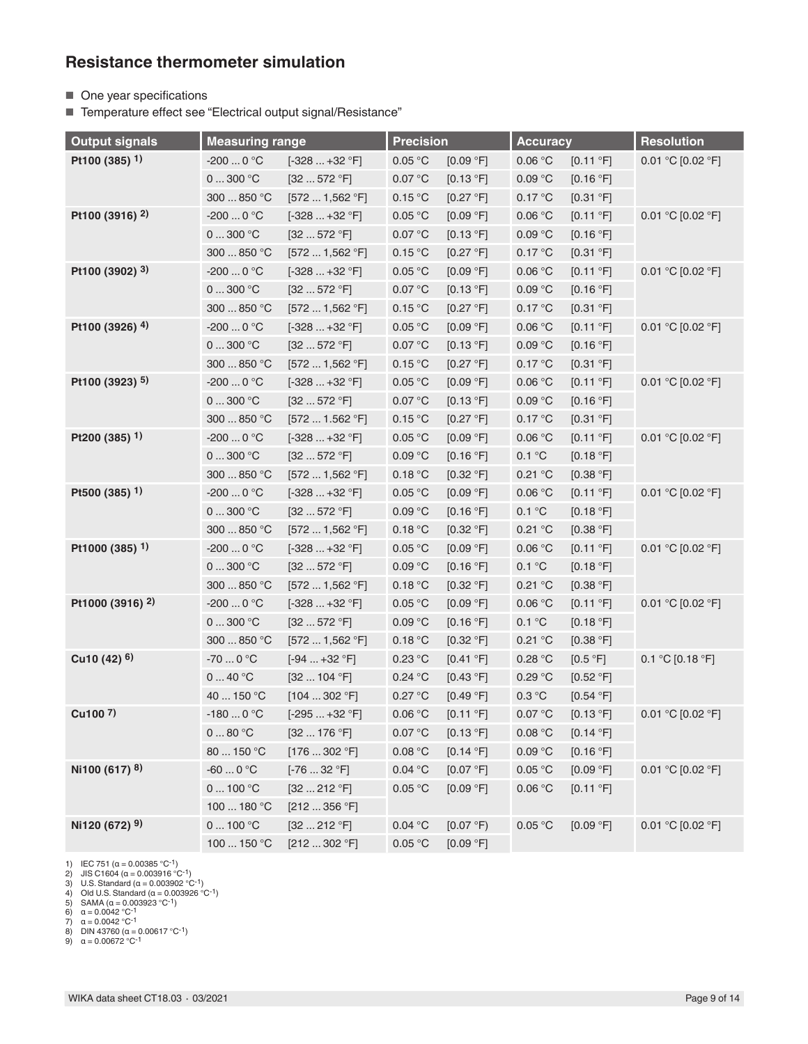### **Resistance thermometer simulation**

- One year specifications
- Temperature effect see "Electrical output signal/Resistance"

| <b>Output signals</b>       | <b>Measuring range</b> |                     | <b>Precision</b>           |           | <b>Accuracy</b> |           | <b>Resolution</b>   |  |
|-----------------------------|------------------------|---------------------|----------------------------|-----------|-----------------|-----------|---------------------|--|
| Pt100 (385) <sup>1)</sup>   | $-2000$ °C             | $[-328+32 °F]$      | 0.05 °C                    | [0.09 °F] | 0.06 °C         | [0.11 °F] | $0.01 °C$ [0.02 °F] |  |
|                             | $0 \dots 300$ °C       | [32572 °F]          | 0.07 °C                    | [0.13 °F] | 0.09 °C         | [0.16 °F] |                     |  |
|                             | 300  850 °C            | [5721,562 °F]       | 0.15 °C                    | [0.27 °F] | 0.17 °C         | [0.31 °F] |                     |  |
| Pt100 (3916) <sup>2)</sup>  | $-2000$ °C             | $[-328+32 °F]$      | 0.05 °C                    | [0.09 °F] | 0.06 °C         | [0.11 °F] | 0.01 °C [0.02 °F]   |  |
|                             | $0 \dots 300$ °C       | [32572 °F]          | $0.07\,^{\circ}\textrm{C}$ | [0.13 °F] | 0.09 °C         | [0.16 °F] |                     |  |
|                             | 300  850 °C            | [5721,562 °F]       | 0.15 °C                    | [0.27 °F] | 0.17 °C         | [0.31 °F] |                     |  |
| Pt100 (3902) 3)             | $-2000$ °C             | $[-328+32 °F]$      | 0.05 °C                    | [0.09 °F] | 0.06 °C         | [0.11 °F] | 0.01 °C [0.02 °F]   |  |
|                             | $0 \dots 300$ °C       | [32572 °F]          | 0.07 °C                    | [0.13 °F] | 0.09 °C         | [0.16 °F] |                     |  |
|                             | 300  850 °C            | [5721,562 °F]       | 0.15 °C                    | [0.27 °F] | 0.17 °C         | [0.31 °F] |                     |  |
| Pt100 (3926) <sup>4)</sup>  | $-2000$ °C             | $[-328+32 °F]$      | 0.05 °C                    | [0.09 °F] | 0.06 °C         | [0.11 °F] | $0.01 °C$ [0.02 °F] |  |
|                             | $0300$ °C              | [32572 °F]          | $0.07\,^{\circ}\textrm{C}$ | [0.13 °F] | 0.09 °C         | [0.16 °F] |                     |  |
|                             | 300  850 °C            | [5721,562 °F]       | 0.15 °C                    | [0.27 °F] | 0.17 °C         | [0.31 °F] |                     |  |
| Pt100 (3923) 5)             | $-2000$ °C             | $[-328+32 °F]$      | 0.05 °C                    | [0.09 °F] | 0.06 °C         | [0.11 °F] | 0.01 °C [0.02 °F]   |  |
|                             | $0 \dots 300$ °C       | [32572 °F]          | 0.07 °C                    | [0.13 °F] | 0.09 °C         | [0.16 °F] |                     |  |
|                             | 300  850 °C            | [5721.562 °F]       | 0.15 °C                    | [0.27 °F] | 0.17 °C         | [0.31 °F] |                     |  |
| Pt200 (385) 1)              | -200 $\ldots$ 0 °C     | $[-328+32 °F]$      | 0.05 °C                    | [0.09 °F] | 0.06 °C         | [0.11 °F] | $0.01 °C$ [0.02 °F] |  |
|                             | $0 \dots 300$ °C       | [32572 °F]          | $0.09\,^{\circ}\mathrm{C}$ | [0.16 °F] | 0.1 °C          | [0.18 °F] |                     |  |
|                             | 300  850 °C            | [5721,562 °F]       | 0.18 °C                    | [0.32 °F] | 0.21 °C         | [0.38 °F] |                     |  |
| Pt500 (385) 1)              | -200 $\ldots$ 0 °C     | $[-328+32 °F]$      | 0.05 °C                    | [0.09 °F] | 0.06 °C         | [0.11 °F] | 0.01 °C [0.02 °F]   |  |
|                             | $0 \dots 300$ °C       | [32572 °F]          | 0.09 °C                    | [0.16 °F] | 0.1 °C          | [0.18 °F] |                     |  |
|                             | 300  850 °C            | [5721,562 °F]       | 0.18 °C                    | [0.32 °F] | 0.21 °C         | [0.38 °F] |                     |  |
| Pt1000 (385) <sup>1)</sup>  | -200 $\ldots$ 0 °C     | $[-328+32 °F]$      | 0.05 °C                    | [0.09 °F] | 0.06 °C         | [0.11 °F] | $0.01 °C$ [0.02 °F] |  |
|                             | $0300$ °C              | [32572 °F]          | $0.09\,^{\circ}\mathrm{C}$ | [0.16 °F] | 0.1 °C          | [0.18 °F] |                     |  |
|                             | 300  850 °C            | [5721,562 °F]       | 0.18 °C                    | [0.32 °F] | 0.21 °C         | [0.38 °F] |                     |  |
| Pt1000 (3916) <sup>2)</sup> | -200 $\ldots$ 0 °C     | $[-328+32 °F]$      | 0.05 °C                    | [0.09 °F] | 0.06 °C         | [0.11 °F] | 0.01 °C [0.02 °F]   |  |
|                             | $0 \dots 300$ °C       | [32572 °F]          | 0.09 °C                    | [0.16 °F] | 0.1 °C          | [0.18 °F] |                     |  |
|                             | 300  850 °C            | [5721,562 °F]       | 0.18 °C                    | [0.32 °F] | 0.21 °C         | [0.38 °F] |                     |  |
| Cu10 (42) 6)                | $-700$ °C              | $[-94+32 °F]$       | 0.23 °C                    | [0.41 °F] | 0.28 °C         | [0.5 °F]  | 0.1 °C [0.18 °F]    |  |
|                             | 040 °C                 | $[32 \dots 104 °F]$ | 0.24 °C                    | [0.43 °F] | 0.29 °C         | [0.52 °F] |                     |  |
|                             | 40  150 °C             | [104302 °F]         | 0.27 °C                    | [0.49 °F] | 0.3 °C          | [0.54 °F] |                     |  |
| Cu100 <sup>7</sup>          | $-1800$ °C             | $[-295+32 °F]$      | 0.06 °C                    | [0.11 °F] | 0.07 °C         | [0.13 °F] | 0.01 °C [0.02 °F]   |  |
|                             | 080 °C                 | [32176 °F]          | 0.07 °C                    | [0.13 °F] | 0.08 °C         | [0.14 °F] |                     |  |
|                             | 80  150 °C             | [176302 °F]         | $0.08\,^{\circ}\mathrm{C}$ | [0.14 °F] | 0.09 °C         | [0.16 °F] |                     |  |
| Ni100 (617) 8)              | -60 $\ldots$ 0 °C      | $[-7632 °F]$        | 0.04 °C                    | [0.07 °F] | 0.05 °C         | [0.09 °F] | 0.01 °C [0.02 °F]   |  |
|                             | $0 \dots 100$ °C       | [32212 °F]          | 0.05 °C                    | [0.09 °F] | 0.06 °C         | [0.11 °F] |                     |  |
|                             | 100  180 °C            | [212356 °F]         |                            |           |                 |           |                     |  |
| Ni120 (672) 9)              | $0 \dots 100$ °C       | [32212 °F]          | 0.04 °C                    | [0.07 °F) | 0.05 °C         | [0.09 °F] | 0.01 °C [0.02 °F]   |  |
|                             | 100  150 °C            | [212302 °F]         | 0.05 °C                    | [0.09 °F] |                 |           |                     |  |

1) IEC 751 ( $\alpha$  = 0.00385 °C<sup>-1</sup>)<br>
2) JIS C1604 ( $\alpha$  = 0.003916 °C<sup>-1</sup>)<br>
3) U.S. Standard ( $\alpha$  = 0.003902 °C<sup>-1</sup>)<br>
4) Old U.S. Standard ( $\alpha$  = 0.003926 °C<sup>-1</sup>)<br>
5) SAMA ( $\alpha$  = 0.003923 °C<sup>-1</sup>)<br>
6)  $\alpha$  = 0.0042 °C<sup>-1</sup>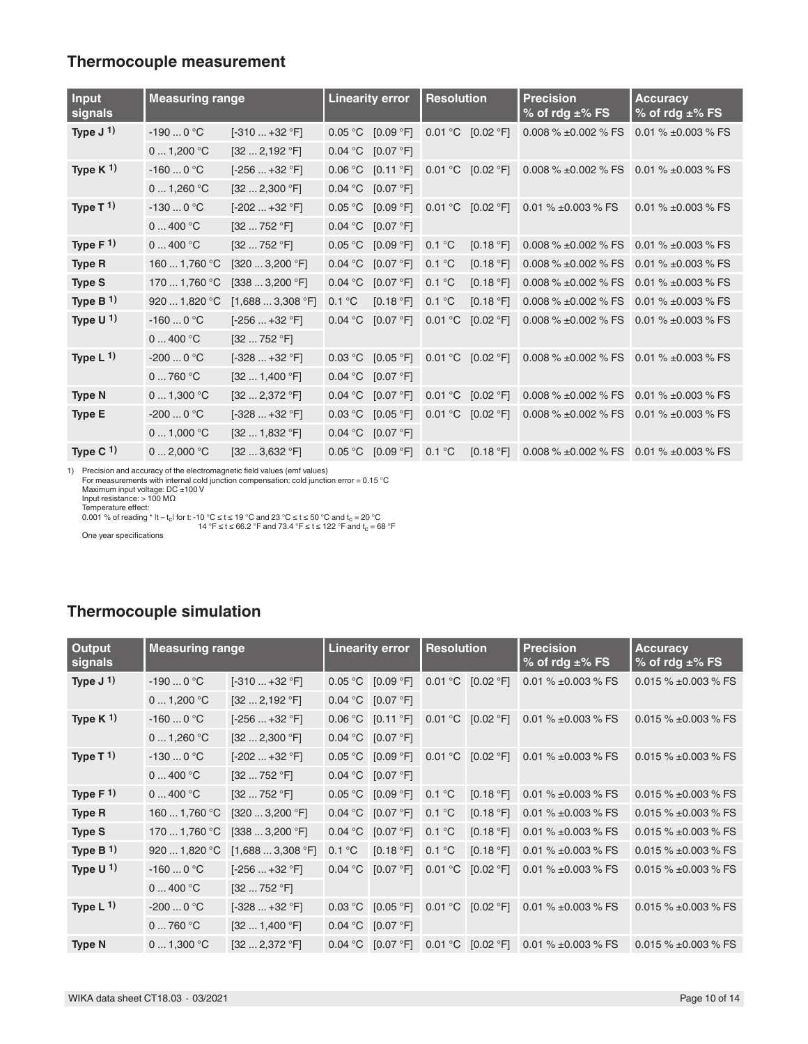# **Thermocouple measurement**

| Input<br>signals | <b>Measuring range</b> |                                       | <b>Linearity error</b> |                      | <b>Resolution</b> |           | <b>Precision</b><br>% of rdg $\pm$ % FS  | <b>Accuracy</b><br>% of rdg $\pm$ % FS |  |
|------------------|------------------------|---------------------------------------|------------------------|----------------------|-------------------|-----------|------------------------------------------|----------------------------------------|--|
| Type $J1$        | $-1900$ °C             | $[-310+32 °F]$                        | 0.05 °C                | [0.09 °F]            | 0.01 °C           | [0.02 °F] | 0.008 % ±0.002 % FS                      | 0.01 % $\pm$ 0.003 % FS                |  |
|                  | 01,200 °C              | [322,192 °F]                          | 0.04 °C                | [0.07 °F]            |                   |           |                                          |                                        |  |
| Type $K1$        | $-1600$ °C             | $[-256+32 °F]$                        | 0.06 °C                | $[0.11$ $\degree$ F1 | 0.01 °C           | [0.02 °F] | 0.008 $% \pm 0.002$ % FS                 | 0.01 % $\pm$ 0.003 % FS                |  |
|                  | 01,260 °C              | $[32 \dots 2,300 \degree F]$          | 0.04 °C                | [0.07 °F]            |                   |           |                                          |                                        |  |
| Type $T^{1}$     | $-1300$ °C             | $[-202+32 °F]$                        | 0.05 °C                | [0.09 °F]            | 0.01 °C           | [0.02 °F] | 0.01 % $\pm$ 0.003 % FS                  | 0.01 % $\pm$ 0.003 % FS                |  |
|                  | 0400 °C                | [32752 °F]                            | 0.04 °C                | [0.07 °F]            |                   |           |                                          |                                        |  |
| Type $F1$        | 0400 °C                | [32752 °F]                            | 0.05 °C                | [0.09 °F]            | 0.1 °C            | [0.18 °F] | 0.008 % ±0.002 % FS                      | 0.01 % $\pm$ 0.003 % FS                |  |
| <b>Type R</b>    | 160  1,760 °C          | [3203,200 °F]                         | 0.04 °C                | [0.07 °F]            | 0.1 °C            | [0.18 °F] | 0.008 $% \pm 0.002$ % FS                 | 0.01 % $\pm$ 0.003 % FS                |  |
| <b>Type S</b>    | 170  1,760 °C          | [3383,200 °F]                         | 0.04 °C                | [0.07 °F]            | 0.1 °C            | [0.18 °F] | 0.008 % ±0.002 % FS                      | 0.01 % $\pm$ 0.003 % FS                |  |
| Type $B1$        | 920  1,820 °C          | [1,6883,308 °F]                       | 0.1 °C                 | [0.18 °F]            | 0.1 °C            | [0.18 °F] | 0.008 $% \pm 0.002$ % FS                 | 0.01 $% \pm 0.003$ % FS                |  |
| Type $U1$        | $-1600$ °C             | $[-256+32 °F]$                        | 0.04 °C                | [0.07 °F]            | 0.01 °C           | [0.02 °F] | 0.008 $% \pm 0.002$ % FS                 | 0.01 $% \pm 0.003$ % FS                |  |
|                  | 0400 °C                | [32752 °F]                            |                        |                      |                   |           |                                          |                                        |  |
| Type $L^{1}$     | $-2000$ °C             | $[-328+32 °F]$                        | 0.03 °C                | [0.05 °F]            | 0.01 °C           | [0.02 °F] | 0.008 $% \pm 0.002$ % FS                 | 0.01 % $\pm$ 0.003 % FS                |  |
|                  | 0760 °C                | $[32 \dots 1,400 \degree F]$          | 0.04 °C                | [0.07 °F]            |                   |           |                                          |                                        |  |
| <b>Type N</b>    | 01,300 °C              | [322,372 °F]                          | 0.04 °C                | [0.07 °F]            | 0.01 °C           | [0.02 °F] | 0.008 $% \pm 0.002$ % FS                 | 0.01 % $\pm$ 0.003 % FS                |  |
| <b>Type E</b>    | $-2000$ °C             | $[-328+32 °F]$                        | 0.03 °C                | [0.05 °F]            | 0.01 °C           | [0.02 °F] | 0.008 $% \pm 0.002$ % FS                 | 0.01 % $\pm$ 0.003 % FS                |  |
|                  | 01,000 °C              | $[32 \dots 1,832 \text{ }^{\circ}F]$  | 0.04 °C                | [0.07 °F]            |                   |           |                                          |                                        |  |
| Type C $1$ )     | 02,000 °C              | $[32 \dots 3,632 \text{ }^{\circ}$ F] | 0.05 °C                | [0.09 °F]            | $0.1^{\circ}$ C   | [0.18 °F] | 0.008 % ± 0.002 % FS 0.01 % ± 0.003 % FS |                                        |  |

1) Precision and accuracy of the electromagnetic field values (emf values)<br>For measurements with internal cold junction compensation: cold junction error = 0.15 °C<br>Maximum input voltage: DC ±100 V<br>Input resistance: > 100

Temperature effect:<br>0.001 % of reading \* It – t<sub>c</sub>l for t: -10 °C ≤ t ≤ 19 °C and 23 °C ≤ t ≤ 50 °C and t<sub>c</sub> = 20 °C<br>One year specifications for state in the set of secare the set of 2.4 °F ≤ t ≤ 122 °F and t<sub>c</sub> = 68 °F

# **Thermocouple simulation**

| <b>Output</b><br>signals | <b>Measuring range</b> |                                               | <b>Linearity error</b> |           | <b>Resolution</b>   |           | <b>Precision</b><br>% of rdg $\pm$ % FS | <b>Accuracy</b><br>% of rdg $\pm\%$ FS |  |
|--------------------------|------------------------|-----------------------------------------------|------------------------|-----------|---------------------|-----------|-----------------------------------------|----------------------------------------|--|
| Type $J^{(1)}$           | $-1900$ °C             | $[-310+32 °F]$                                | 0.05 °C                | [0.09 °F] | $^{\circ}C$<br>0.01 | [0.02 °F] | 0.01 % $\pm$ 0.003 % FS                 | 0.015 % $\pm$ 0.003 % FS               |  |
|                          | 01,200 °C              | $[32 \dots 2, 192 \text{ }^{\circ} \text{F}]$ | 0.04 °C                | [0.07 °F] |                     |           |                                         |                                        |  |
| Type $K^{1}$             | $-1600$ °C             | $[-256+32 °F]$                                | 0.06 °C                | [0.11 °F] | 0.01 °C             | [0.02 °F] | 0.01 % $\pm$ 0.003 % FS                 | 0.015 % $\pm$ 0.003 % FS               |  |
|                          | 01,260 °C              | [322,300 °F]                                  | 0.04 °C                | [0.07 °F] |                     |           |                                         |                                        |  |
| Type $T^{1}$             | $-1300$ °C             | $[-202+32 °F]$                                | 0.05 °C                | [0.09 °F] | 0.01 °C             | [0.02 °F] | 0.01 % $\pm$ 0.003 % FS                 | 0.015 $% \pm 0.003$ % FS               |  |
|                          | 0400 °C                | [32752 °F]                                    | 0.04 °C                | [0.07 °F] |                     |           |                                         |                                        |  |
| Type $F1$                | 0400 °C                | [32752 °F]                                    | 0.05 °C                | [0.09 °F] | 0.1 °C              | [0.18 °F] | 0.01 % ±0.003 % FS                      | 0.015 % $\pm$ 0.003 % FS               |  |
| <b>Type R</b>            | 160  1,760 °C          | [3203,200 °F]                                 | 0.04 °C                | [0.07 °F] | 0.1 °C              | [0.18 °F] | 0.01 % ±0.003 % FS                      | 0.015 % $\pm$ 0.003 % FS               |  |
| <b>Type S</b>            | 170  1,760 °C          | [3383,200 °F]                                 | 0.04 °C                | [0.07 °F] | 0.1 °C              | [0.18 °F] | 0.01 % ±0.003 % FS                      | 0.015 $% \pm 0.003$ % FS               |  |
| Type $B1$                | 920  1,820 °C          | [1,6883,308 °F]                               | 0.1 °C                 | [0.18 °F] | $^{\circ}$ C<br>0.1 | [0.18 °F] | 0.01 % ±0.003 % FS                      | 0.015 % $\pm$ 0.003 % FS               |  |
| Type $U1$                | $-1600$ °C             | $[-256+32 °F]$                                | 0.04 °C                | [0.07 °F] | 0.01 °C             | [0.02 °F] | 0.01 % $\pm$ 0.003 % FS                 | 0.015 % $\pm$ 0.003 % FS               |  |
|                          | 0400 °C                | [32752 °F]                                    |                        |           |                     |           |                                         |                                        |  |
| Type $L^{1}$             | $-2000$ °C             | $[-328+32 °F]$                                | 0.03 °C                | [0.05 °F] | $^{\circ}C$<br>0.01 | [0.02 °F] | 0.01 % ±0.003 % FS                      | 0.015 % $\pm$ 0.003 % FS               |  |
|                          | 0760 °C                | $[32 \dots 1,400 \degree F]$                  | 0.04 °C                | [0.07 °F] |                     |           |                                         |                                        |  |
| <b>Type N</b>            | 01,300 °C              | $[32 \dots 2, 372 \text{ }^{\circ} \text{F}]$ | 0.04 °C                | [0.07 °F] | 0.01 °C             | [0.02 °F] | 0.01 % $\pm$ 0.003 % FS                 | 0.015 $% \pm 0.003$ % FS               |  |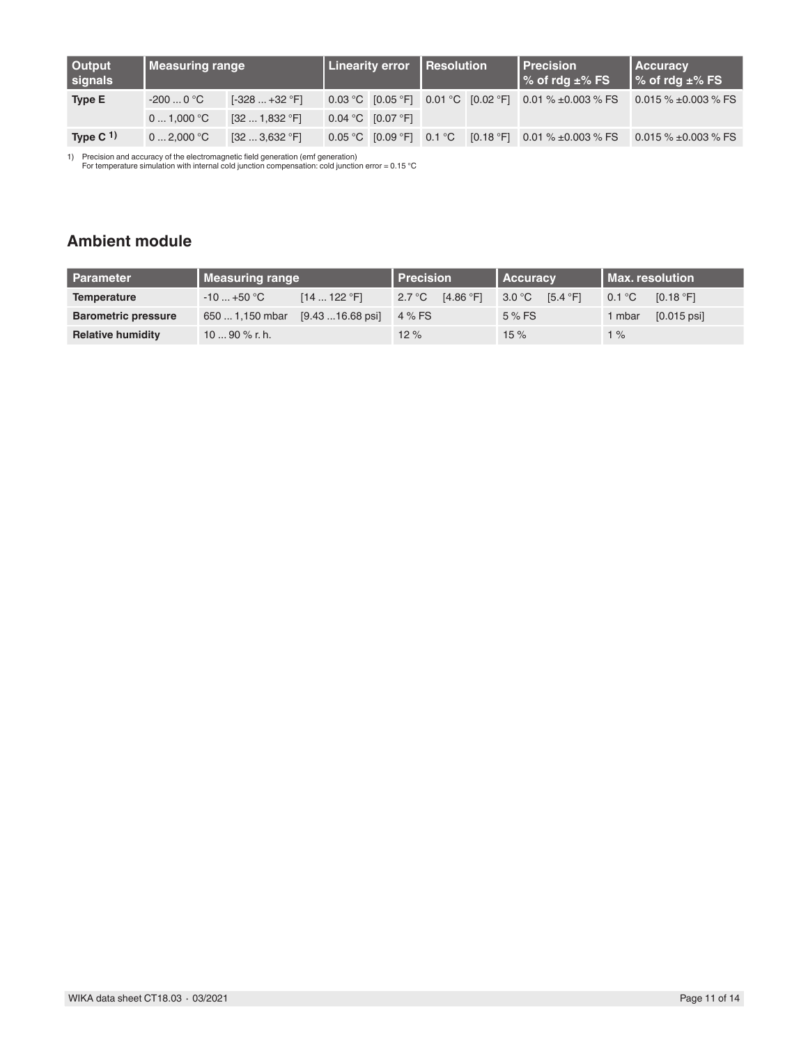| <b>Output</b><br>signals | Measuring range |                                              | Linearity error   Resolution |                                |  |  | <b>I</b> Precision<br>$\frac{1}{6}$ of rdg $\pm\%$ FS  | <b>Accuracy</b><br>$\frac{1}{6}$ % of rdg $\pm\%$ FS |
|--------------------------|-----------------|----------------------------------------------|------------------------------|--------------------------------|--|--|--------------------------------------------------------|------------------------------------------------------|
| Type E                   | $-2000$ °C      | $[-328+32 °F]$                               |                              |                                |  |  | 0.03 °C [0.05 °F] 0.01 °C [0.02 °F] 0.01 % ±0.003 % FS | 0.015 $% \pm 0.003$ % FS                             |
|                          | 01.000 °C       | $[32 \dots 1,832 \text{ }^{\circ} \text{F}]$ |                              | $0.04 °C$ [0.07 $°F$ ]         |  |  |                                                        |                                                      |
| Type C $1$ )             | 02.000 °C       | $[32 \dots 3,632 \text{ }^{\circ} \text{F}]$ |                              | $0.05 °C$ $[0.09 °F]$ $0.1 °C$ |  |  | $[0.18 \text{ °F}]$ 0.01 % ±0.003 % FS                 | 0.015 $% \pm 0.003$ % FS                             |

1) Precision and accuracy of the electromagnetic field generation (emf generation) For temperature simulation with internal cold junction compensation: cold junction error = 0.15 °C

# **Ambient module**

| <b>Parameter</b>           | Measuring range |                                  | l Precision |           | <b>Accuracy</b> |          | l Max. resolution |               |
|----------------------------|-----------------|----------------------------------|-------------|-----------|-----------------|----------|-------------------|---------------|
| Temperature                | $-10+50$ °C     | $[14 \dots 122$ °F1              | 2.7 °C      | [4.86 °F] | 3.0 °C          | [5.4 °F] | 0.1 °C            | [0.18 °F]     |
| <b>Barometric pressure</b> | 650  1,150 mbar | $[9.43 \dots 16.68 \text{ psi}]$ | 4 % FS      |           | 5 % FS          |          | I mbar            | $[0.015$ psil |
| <b>Relative humidity</b>   | 10  90 % r. h.  |                                  | 12%         |           | 15%             |          | $1\%$             |               |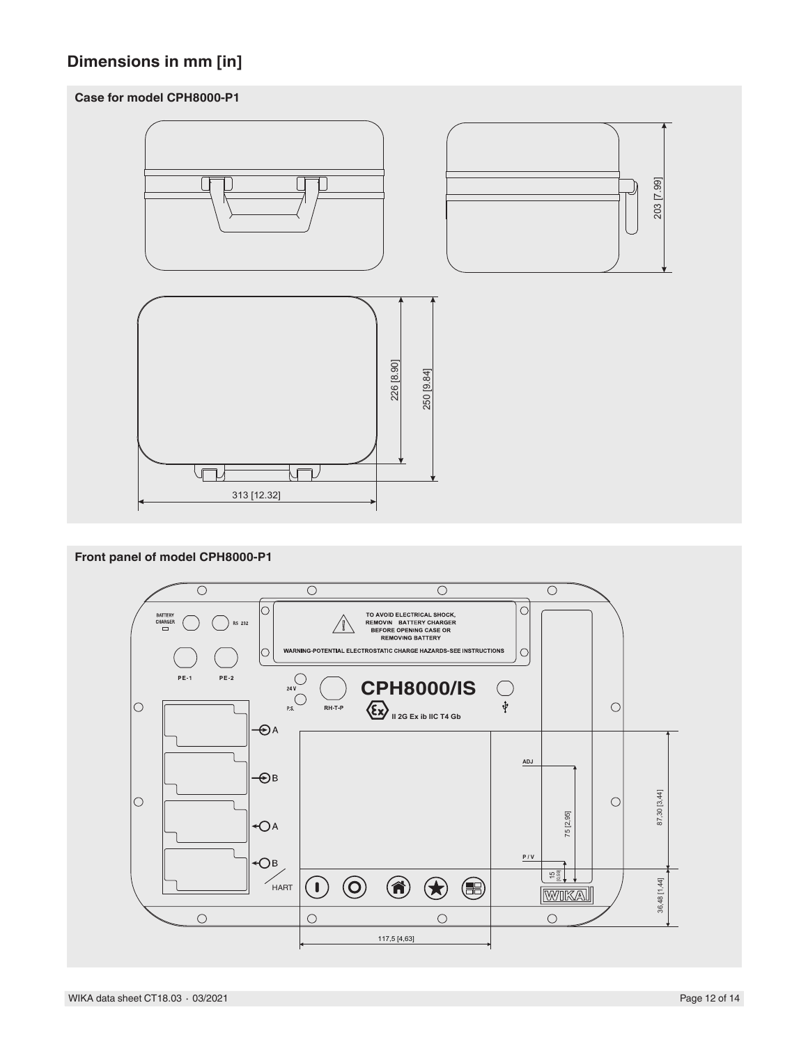# **Dimensions in mm [in]**

### **Case for model CPH8000-P1**



#### **Front panel of model CPH8000-P1**

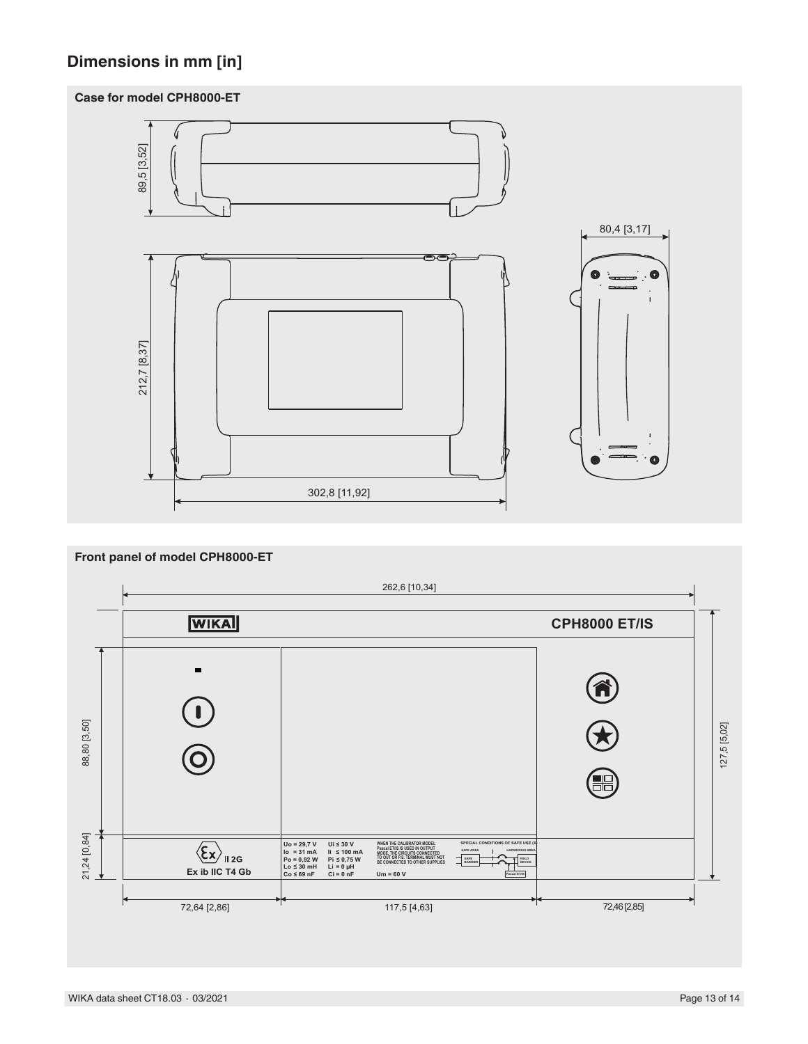# **Dimensions in mm [in]**

### **Case for model CPH8000-ET**